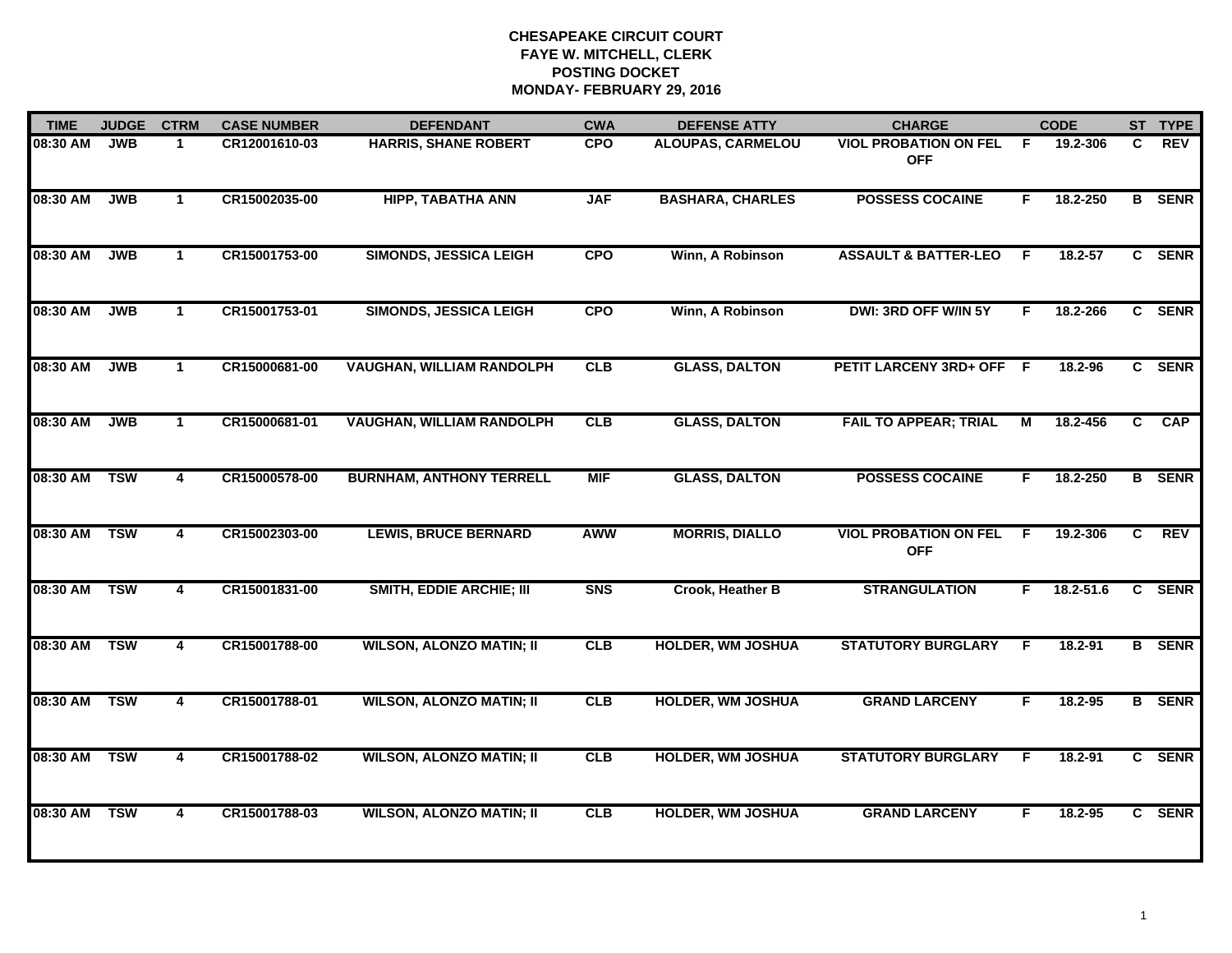| <b>TIME</b> | <b>JUDGE</b> | <b>CTRM</b>  | <b>CASE NUMBER</b> | <b>DEFENDANT</b>                 | <b>CWA</b> | <b>DEFENSE ATTY</b>      | <b>CHARGE</b>                              |     | <b>CODE</b> |                | ST TYPE       |
|-------------|--------------|--------------|--------------------|----------------------------------|------------|--------------------------|--------------------------------------------|-----|-------------|----------------|---------------|
| 08:30 AM    | <b>JWB</b>   | $\mathbf 1$  | CR12001610-03      | <b>HARRIS, SHANE ROBERT</b>      | <b>CPO</b> | <b>ALOUPAS, CARMELOU</b> | <b>VIOL PROBATION ON FEL</b><br><b>OFF</b> | -F  | 19.2-306    | C              | <b>REV</b>    |
| 08:30 AM    | <b>JWB</b>   | $\mathbf{1}$ | CR15002035-00      | <b>HIPP, TABATHA ANN</b>         | <b>JAF</b> | <b>BASHARA, CHARLES</b>  | <b>POSSESS COCAINE</b>                     | F   | 18.2-250    |                | <b>B</b> SENR |
| 08:30 AM    | <b>JWB</b>   | $\mathbf{1}$ | CR15001753-00      | <b>SIMONDS, JESSICA LEIGH</b>    | <b>CPO</b> | Winn, A Robinson         | <b>ASSAULT &amp; BATTER-LEO</b>            | -F  | 18.2-57     |                | C SENR        |
| 08:30 AM    | <b>JWB</b>   | $\mathbf{1}$ | CR15001753-01      | <b>SIMONDS, JESSICA LEIGH</b>    | <b>CPO</b> | Winn, A Robinson         | DWI: 3RD OFF W/IN 5Y                       |     | 18.2-266    |                | C SENR        |
| 08:30 AM    | <b>JWB</b>   | $\mathbf{1}$ | CR15000681-00      | <b>VAUGHAN, WILLIAM RANDOLPH</b> | CLB        | <b>GLASS, DALTON</b>     | <b>PETIT LARCENY 3RD+ OFF</b>              | - F | 18.2-96     |                | C SENR        |
| 08:30 AM    | <b>JWB</b>   | $\mathbf{1}$ | CR15000681-01      | <b>VAUGHAN, WILLIAM RANDOLPH</b> | CLB        | <b>GLASS, DALTON</b>     | <b>FAIL TO APPEAR; TRIAL</b>               | М   | 18.2-456    | C.             | CAP           |
| 08:30 AM    | <b>TSW</b>   | 4            | CR15000578-00      | <b>BURNHAM, ANTHONY TERRELL</b>  | <b>MIF</b> | <b>GLASS, DALTON</b>     | <b>POSSESS COCAINE</b>                     | F.  | 18.2-250    |                | <b>B</b> SENR |
| 08:30 AM    | <b>TSW</b>   | 4            | CR15002303-00      | <b>LEWIS, BRUCE BERNARD</b>      | <b>AWW</b> | <b>MORRIS, DIALLO</b>    | <b>VIOL PROBATION ON FEL</b><br><b>OFF</b> | -F  | 19.2-306    | C.             | <b>REV</b>    |
| 08:30 AM    | <b>TSW</b>   | 4            | CR15001831-00      | <b>SMITH, EDDIE ARCHIE; III</b>  | <b>SNS</b> | Crook, Heather B         | <b>STRANGULATION</b>                       | F   | 18.2-51.6   | $\overline{c}$ | <b>SENR</b>   |
| 08:30 AM    | <b>TSW</b>   | 4            | CR15001788-00      | <b>WILSON, ALONZO MATIN; II</b>  | CLB        | <b>HOLDER, WM JOSHUA</b> | <b>STATUTORY BURGLARY</b>                  | F   | 18.2-91     |                | <b>B</b> SENR |
| 08:30 AM    | <b>TSW</b>   | 4            | CR15001788-01      | <b>WILSON, ALONZO MATIN; II</b>  | CLB        | <b>HOLDER, WM JOSHUA</b> | <b>GRAND LARCENY</b>                       | F.  | 18.2-95     |                | <b>B</b> SENR |
| 08:30 AM    | <b>TSW</b>   | 4            | CR15001788-02      | <b>WILSON, ALONZO MATIN; II</b>  | CLB        | <b>HOLDER, WM JOSHUA</b> | <b>STATUTORY BURGLARY</b>                  | F   | 18.2-91     |                | C SENR        |
| 08:30 AM    | <b>TSW</b>   | 4            | CR15001788-03      | <b>WILSON, ALONZO MATIN; II</b>  | CLB        | <b>HOLDER, WM JOSHUA</b> | <b>GRAND LARCENY</b>                       | F   | 18.2-95     |                | C SENR        |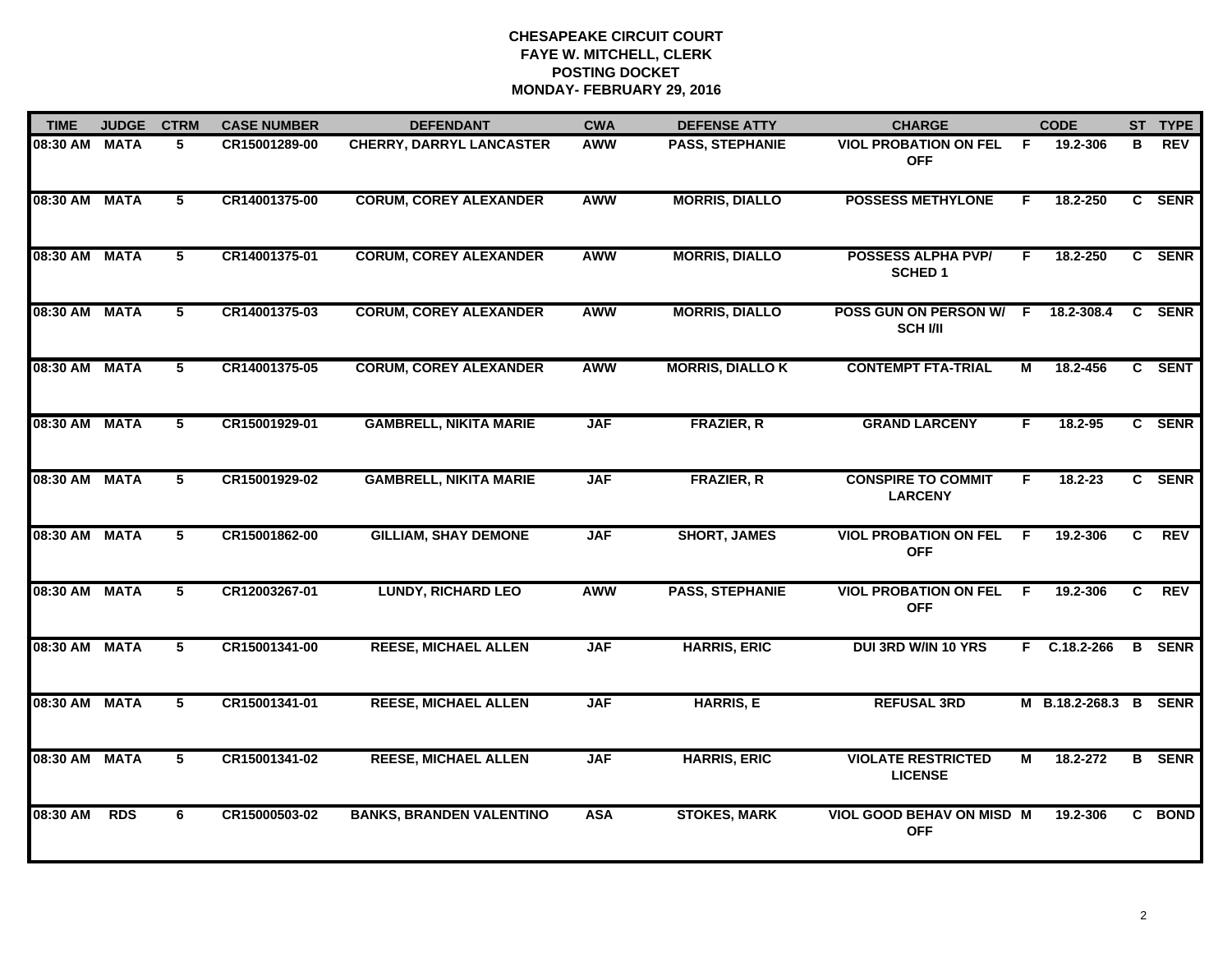| <b>TIME</b>   | <b>JUDGE</b> | <b>CTRM</b>     | <b>CASE NUMBER</b> | <b>DEFENDANT</b>                | <b>CWA</b> | <b>DEFENSE ATTY</b>     | <b>CHARGE</b>                               |    | <b>CODE</b>      |    | ST TYPE       |
|---------------|--------------|-----------------|--------------------|---------------------------------|------------|-------------------------|---------------------------------------------|----|------------------|----|---------------|
| 08:30 AM MATA |              | 5               | CR15001289-00      | <b>CHERRY, DARRYL LANCASTER</b> | <b>AWW</b> | PASS, STEPHANIE         | <b>VIOL PROBATION ON FEL</b><br><b>OFF</b>  | F. | 19.2-306         | в  | <b>REV</b>    |
| 08:30 AM MATA |              | $5\overline{ }$ | CR14001375-00      | <b>CORUM, COREY ALEXANDER</b>   | <b>AWW</b> | <b>MORRIS, DIALLO</b>   | <b>POSSESS METHYLONE</b>                    | F. | 18.2-250         |    | C SENR        |
| 08:30 AM MATA |              | 5               | CR14001375-01      | <b>CORUM, COREY ALEXANDER</b>   | <b>AWW</b> | <b>MORRIS, DIALLO</b>   | <b>POSSESS ALPHA PVP/</b><br><b>SCHED 1</b> | F. | 18.2-250         |    | C SENR        |
| 08:30 AM MATA |              | 5               | CR14001375-03      | <b>CORUM, COREY ALEXANDER</b>   | AWW        | <b>MORRIS, DIALLO</b>   | POSS GUN ON PERSON W/ F<br><b>SCH I/II</b>  |    | 18.2-308.4       |    | C SENR        |
| 08:30 AM MATA |              | 5               | CR14001375-05      | <b>CORUM, COREY ALEXANDER</b>   | <b>AWW</b> | <b>MORRIS, DIALLO K</b> | <b>CONTEMPT FTA-TRIAL</b>                   | м  | 18.2-456         |    | C SENT        |
| 08:30 AM MATA |              | 5               | CR15001929-01      | <b>GAMBRELL, NIKITA MARIE</b>   | <b>JAF</b> | <b>FRAZIER, R</b>       | <b>GRAND LARCENY</b>                        | F. | 18.2-95          |    | C SENR        |
| 08:30 AM MATA |              | 5               | CR15001929-02      | <b>GAMBRELL, NIKITA MARIE</b>   | <b>JAF</b> | <b>FRAZIER, R</b>       | <b>CONSPIRE TO COMMIT</b><br><b>LARCENY</b> | F. | $18.2 - 23$      |    | C SENR        |
| 08:30 AM MATA |              | 5               | CR15001862-00      | <b>GILLIAM, SHAY DEMONE</b>     | <b>JAF</b> | <b>SHORT, JAMES</b>     | <b>VIOL PROBATION ON FEL</b><br><b>OFF</b>  | F. | 19.2-306         | C. | <b>REV</b>    |
| 08:30 AM MATA |              | 5               | CR12003267-01      | <b>LUNDY, RICHARD LEO</b>       | <b>AWW</b> | <b>PASS, STEPHANIE</b>  | <b>VIOL PROBATION ON FEL</b><br><b>OFF</b>  | -F | 19.2-306         | C  | <b>REV</b>    |
| 08:30 AM MATA |              | 5               | CR15001341-00      | <b>REESE, MICHAEL ALLEN</b>     | <b>JAF</b> | <b>HARRIS, ERIC</b>     | <b>DUI 3RD W/IN 10 YRS</b>                  |    | F C.18.2-266     |    | <b>B</b> SENR |
| 08:30 AM MATA |              | 5               | CR15001341-01      | <b>REESE, MICHAEL ALLEN</b>     | <b>JAF</b> | <b>HARRIS, E</b>        | <b>REFUSAL 3RD</b>                          |    | M B.18.2-268.3 B |    | <b>SENR</b>   |
| 08:30 AM MATA |              | 5               | CR15001341-02      | <b>REESE, MICHAEL ALLEN</b>     | <b>JAF</b> | <b>HARRIS, ERIC</b>     | <b>VIOLATE RESTRICTED</b><br><b>LICENSE</b> | М  | 18.2-272         |    | <b>B</b> SENR |
| 08:30 AM      | <b>RDS</b>   | 6               | CR15000503-02      | <b>BANKS, BRANDEN VALENTINO</b> | <b>ASA</b> | <b>STOKES, MARK</b>     | VIOL GOOD BEHAV ON MISD M<br><b>OFF</b>     |    | 19.2-306         |    | C BOND        |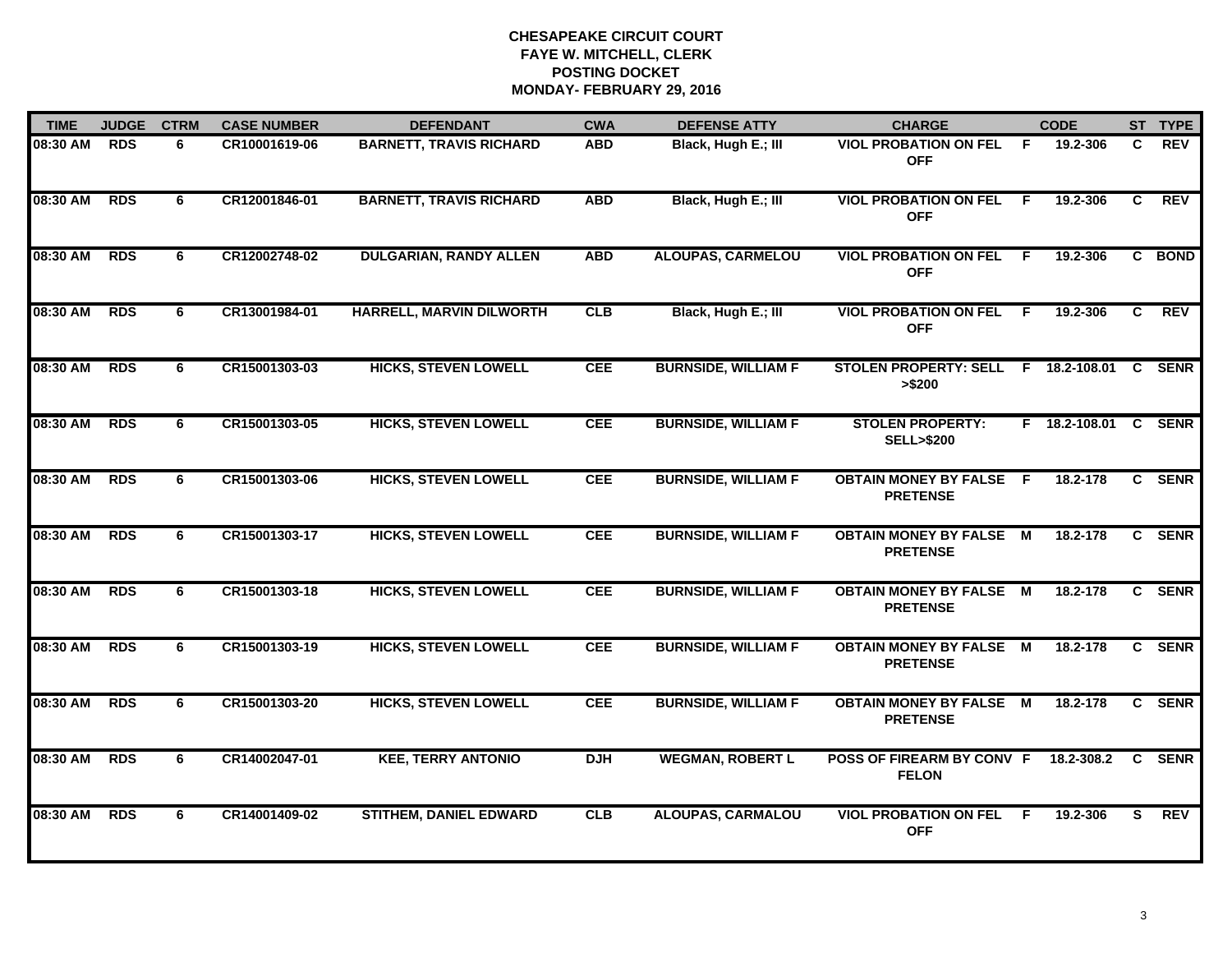| <b>TIME</b>  | <b>JUDGE</b> | <b>CTRM</b> | <b>CASE NUMBER</b> | <b>DEFENDANT</b>               | <b>CWA</b> | <b>DEFENSE ATTY</b>        | <b>CHARGE</b>                                         |     | <b>CODE</b>          |              | ST TYPE     |
|--------------|--------------|-------------|--------------------|--------------------------------|------------|----------------------------|-------------------------------------------------------|-----|----------------------|--------------|-------------|
| 08:30 AM     | <b>RDS</b>   | 6           | CR10001619-06      | <b>BARNETT, TRAVIS RICHARD</b> | <b>ABD</b> | Black, Hugh E.; III        | <b>VIOL PROBATION ON FEL</b><br><b>OFF</b>            | - F | 19.2-306             | C            | <b>REV</b>  |
| 08:30 AM     | <b>RDS</b>   | 6           | CR12001846-01      | <b>BARNETT, TRAVIS RICHARD</b> | <b>ABD</b> | Black, Hugh E.; III        | <b>VIOL PROBATION ON FEL</b><br><b>OFF</b>            | F.  | 19.2-306             | C            | <b>REV</b>  |
| 08:30 AM     | <b>RDS</b>   | 6           | CR12002748-02      | <b>DULGARIAN, RANDY ALLEN</b>  | <b>ABD</b> | <b>ALOUPAS, CARMELOU</b>   | <b>VIOL PROBATION ON FEL</b><br><b>OFF</b>            | E   | 19.2-306             |              | C BOND      |
| 08:30 AM     | <b>RDS</b>   | 6           | CR13001984-01      | HARRELL, MARVIN DILWORTH       | <b>CLB</b> | Black, Hugh E.; III        | <b>VIOL PROBATION ON FEL F</b><br><b>OFF</b>          |     | 19.2-306             | C.           | <b>REV</b>  |
| 08:30 AM     | <b>RDS</b>   | 6           | CR15001303-03      | <b>HICKS, STEVEN LOWELL</b>    | <b>CEE</b> | <b>BURNSIDE, WILLIAM F</b> | STOLEN PROPERTY: SELL F 18.2-108.01 C SENR<br>> \$200 |     |                      |              |             |
| 08:30 AM RDS |              | 6           | CR15001303-05      | <b>HICKS, STEVEN LOWELL</b>    | <b>CEE</b> | <b>BURNSIDE, WILLIAM F</b> | <b>STOLEN PROPERTY:</b><br><b>SELL&gt;\$200</b>       |     | F 18.2-108.01 C SENR |              |             |
| 08:30 AM     | <b>RDS</b>   | 6           | CR15001303-06      | <b>HICKS, STEVEN LOWELL</b>    | <b>CEE</b> | <b>BURNSIDE, WILLIAM F</b> | <b>OBTAIN MONEY BY FALSE F</b><br><b>PRETENSE</b>     |     | 18.2-178             | $\mathbf{c}$ | <b>SENR</b> |
| 08:30 AM     | <b>RDS</b>   | 6           | CR15001303-17      | <b>HICKS, STEVEN LOWELL</b>    | <b>CEE</b> | <b>BURNSIDE, WILLIAM F</b> | <b>OBTAIN MONEY BY FALSE</b><br><b>PRETENSE</b>       | M   | 18.2-178             |              | C SENR      |
| 08:30 AM     | <b>RDS</b>   | 6           | CR15001303-18      | <b>HICKS, STEVEN LOWELL</b>    | <b>CEE</b> | <b>BURNSIDE, WILLIAM F</b> | <b>OBTAIN MONEY BY FALSE M</b><br><b>PRETENSE</b>     |     | 18.2-178             |              | C SENR      |
| 08:30 AM     | <b>RDS</b>   | 6           | CR15001303-19      | <b>HICKS, STEVEN LOWELL</b>    | <b>CEE</b> | <b>BURNSIDE, WILLIAM F</b> | <b>OBTAIN MONEY BY FALSE</b><br><b>PRETENSE</b>       | M   | 18.2-178             | $\mathbf{c}$ | <b>SENR</b> |
| 08:30 AM     | <b>RDS</b>   | 6           | CR15001303-20      | <b>HICKS, STEVEN LOWELL</b>    | <b>CEE</b> | <b>BURNSIDE, WILLIAM F</b> | <b>OBTAIN MONEY BY FALSE M</b><br><b>PRETENSE</b>     |     | 18.2-178             |              | C SENR      |
| 08:30 AM     | RDS          | 6           | CR14002047-01      | <b>KEE, TERRY ANTONIO</b>      | <b>DJH</b> | <b>WEGMAN, ROBERT L</b>    | POSS OF FIREARM BY CONV F 18.2-308.2<br><b>FELON</b>  |     |                      |              | C SENR      |
| 08:30 AM     | <b>RDS</b>   | 6           | CR14001409-02      | <b>STITHEM, DANIEL EDWARD</b>  | CLB        | <b>ALOUPAS, CARMALOU</b>   | <b>VIOL PROBATION ON FEL</b><br><b>OFF</b>            | -F  | 19.2-306             | S            | <b>REV</b>  |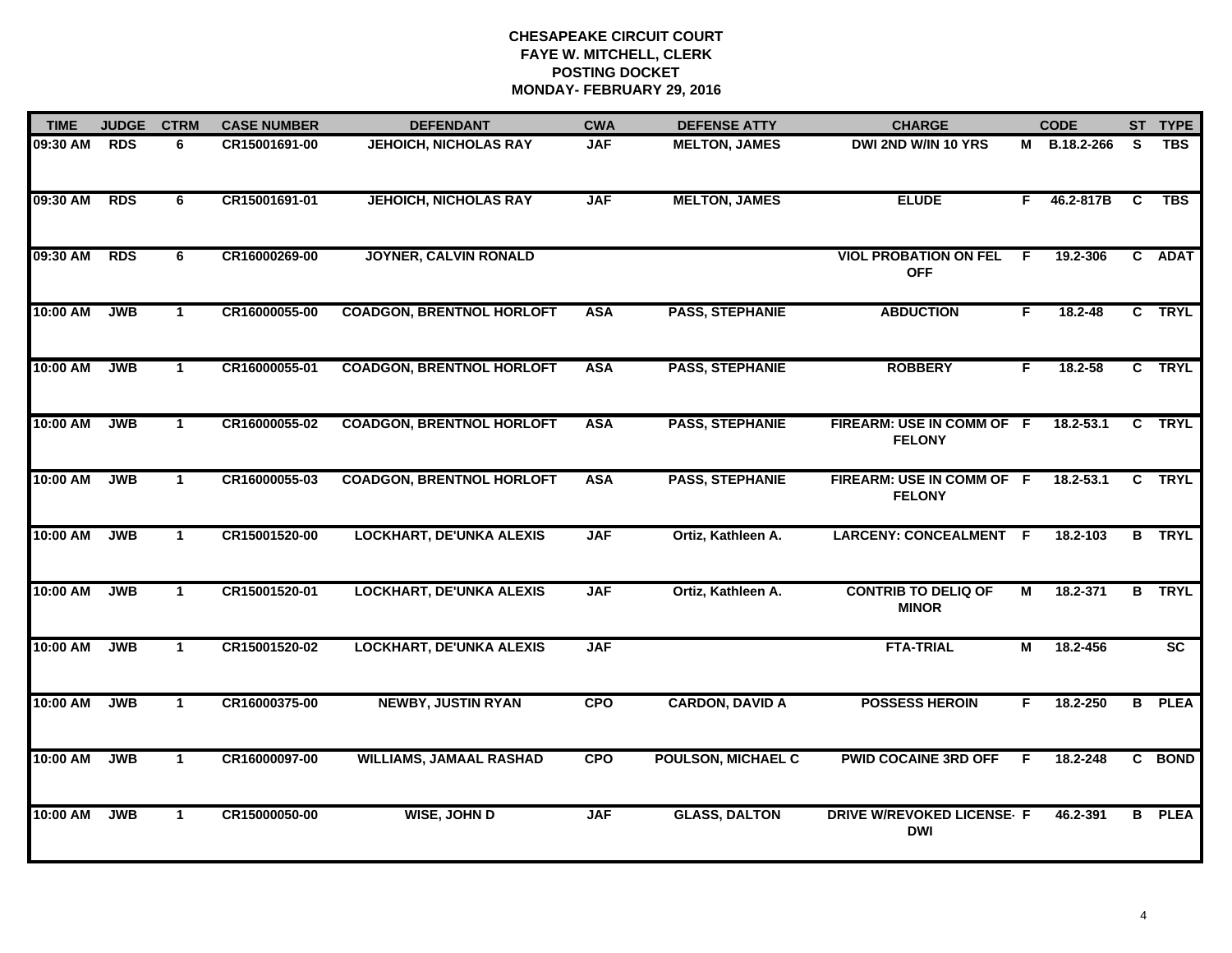| <b>TIME</b> | <b>JUDGE</b> | <b>CTRM</b>  | <b>CASE NUMBER</b> | <b>DEFENDANT</b>                 | <b>CWA</b> | <b>DEFENSE ATTY</b>       | <b>CHARGE</b>                                   |    | <b>CODE</b>   |          | ST TYPE       |
|-------------|--------------|--------------|--------------------|----------------------------------|------------|---------------------------|-------------------------------------------------|----|---------------|----------|---------------|
| 09:30 AM    | <b>RDS</b>   | 6            | CR15001691-00      | <b>JEHOICH, NICHOLAS RAY</b>     | <b>JAF</b> | <b>MELTON, JAMES</b>      | DWI 2ND W/IN 10 YRS                             |    | M B.18.2-266  | S        | <b>TBS</b>    |
| 09:30 AM    | <b>RDS</b>   | 6            | CR15001691-01      | <b>JEHOICH, NICHOLAS RAY</b>     | <b>JAF</b> | <b>MELTON, JAMES</b>      | <b>ELUDE</b>                                    | F. | 46.2-817B     | <b>C</b> | <b>TBS</b>    |
| 09:30 AM    | <b>RDS</b>   | 6            | CR16000269-00      | <b>JOYNER, CALVIN RONALD</b>     |            |                           | <b>VIOL PROBATION ON FEL</b><br><b>OFF</b>      | E  | 19.2-306      |          | C ADAT        |
| 10:00 AM    | <b>JWB</b>   | 1.           | CR16000055-00      | <b>COADGON, BRENTNOL HORLOFT</b> | <b>ASA</b> | <b>PASS, STEPHANIE</b>    | <b>ABDUCTION</b>                                | F. | 18.2-48       |          | C TRYL        |
| 10:00 AM    | <b>JWB</b>   | $\mathbf{1}$ | CR16000055-01      | <b>COADGON, BRENTNOL HORLOFT</b> | <b>ASA</b> | <b>PASS, STEPHANIE</b>    | <b>ROBBERY</b>                                  | F. | 18.2-58       |          | C TRYL        |
| 10:00 AM    | <b>JWB</b>   | $\mathbf 1$  | CR16000055-02      | <b>COADGON, BRENTNOL HORLOFT</b> | <b>ASA</b> | <b>PASS, STEPHANIE</b>    | FIREARM: USE IN COMM OF F<br><b>FELONY</b>      |    | $18.2 - 53.1$ |          | C TRYL        |
| 10:00 AM    | <b>JWB</b>   | $\mathbf{1}$ | CR16000055-03      | <b>COADGON, BRENTNOL HORLOFT</b> | <b>ASA</b> | <b>PASS, STEPHANIE</b>    | FIREARM: USE IN COMM OF F<br><b>FELONY</b>      |    | $18.2 - 53.1$ |          | C TRYL        |
| 10:00 AM    | <b>JWB</b>   | $\mathbf 1$  | CR15001520-00      | <b>LOCKHART, DE'UNKA ALEXIS</b>  | <b>JAF</b> | Ortiz, Kathleen A.        | LARCENY: CONCEALMENT F                          |    | 18.2-103      |          | <b>B</b> TRYL |
| 10:00 AM    | <b>JWB</b>   | $\mathbf{1}$ | CR15001520-01      | <b>LOCKHART, DE'UNKA ALEXIS</b>  | <b>JAF</b> | Ortiz, Kathleen A.        | <b>CONTRIB TO DELIQ OF</b><br><b>MINOR</b>      | М  | 18.2-371      |          | <b>B</b> TRYL |
| 10:00 AM    | <b>JWB</b>   | $\mathbf{1}$ | CR15001520-02      | <b>LOCKHART, DE'UNKA ALEXIS</b>  | <b>JAF</b> |                           | <b>FTA-TRIAL</b>                                | М  | 18.2-456      |          | SC            |
| 10:00 AM    | <b>JWB</b>   | $\mathbf{1}$ | CR16000375-00      | <b>NEWBY, JUSTIN RYAN</b>        | <b>CPO</b> | <b>CARDON, DAVID A</b>    | <b>POSSESS HEROIN</b>                           | F. | 18.2-250      |          | <b>B</b> PLEA |
| 10:00 AM    | <b>JWB</b>   | $\mathbf{1}$ | CR16000097-00      | <b>WILLIAMS, JAMAAL RASHAD</b>   | <b>CPO</b> | <b>POULSON, MICHAEL C</b> | <b>PWID COCAINE 3RD OFF</b>                     | F. | 18.2-248      |          | C BOND        |
| 10:00 AM    | <b>JWB</b>   | $\mathbf{1}$ | CR15000050-00      | WISE, JOHN D                     | <b>JAF</b> | <b>GLASS, DALTON</b>      | <b>DRIVE W/REVOKED LICENSE- F</b><br><b>DWI</b> |    | 46.2-391      |          | <b>B</b> PLEA |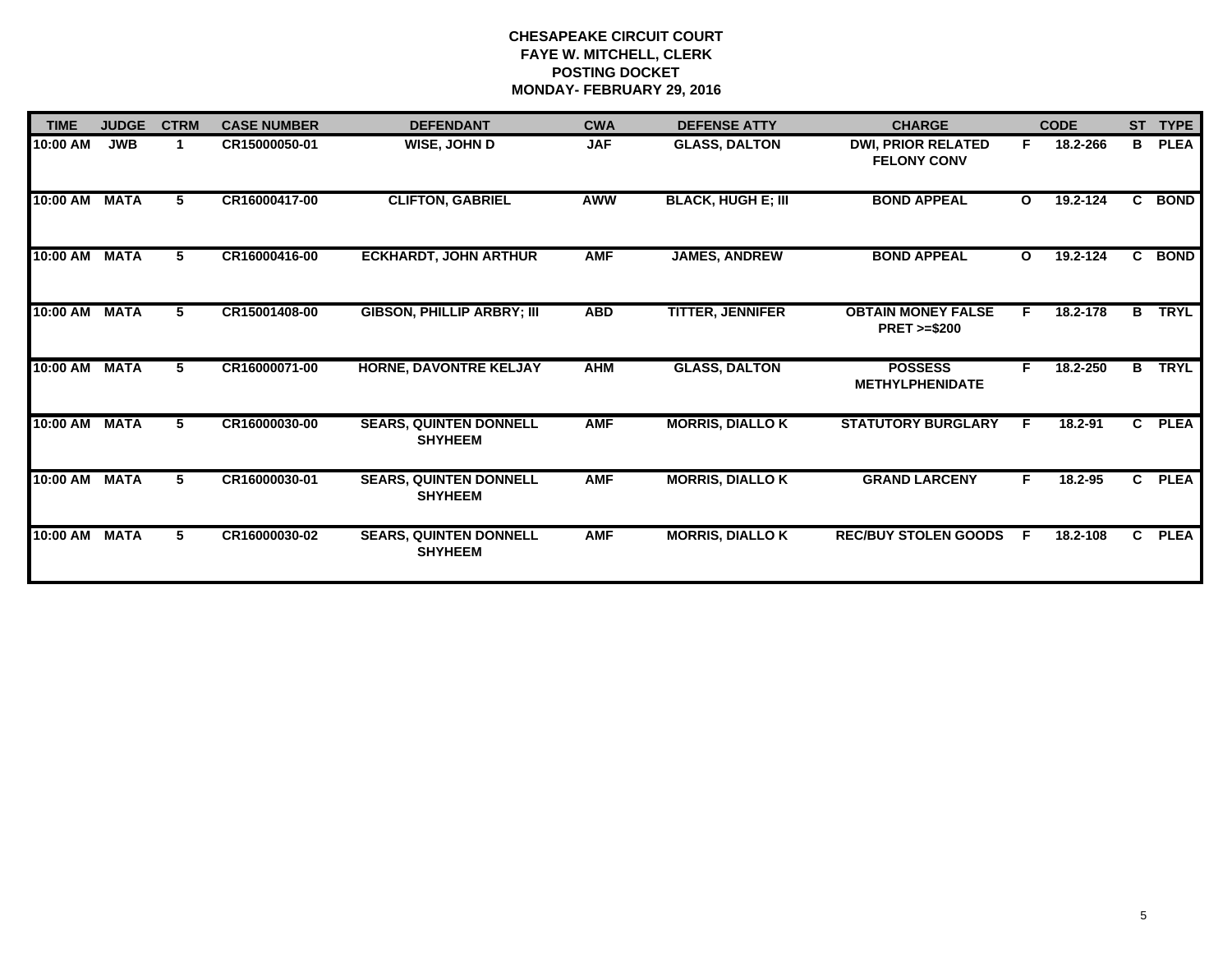| <b>TIME</b> | <b>JUDGE</b> | <b>CTRM</b> | <b>CASE NUMBER</b> | <b>DEFENDANT</b>                                | <b>CWA</b> | <b>DEFENSE ATTY</b>       | <b>CHARGE</b>                                       |              | <b>CODE</b> | <b>ST</b>    | <b>TYPE</b> |
|-------------|--------------|-------------|--------------------|-------------------------------------------------|------------|---------------------------|-----------------------------------------------------|--------------|-------------|--------------|-------------|
| 10:00 AM    | <b>JWB</b>   |             | CR15000050-01      | WISE, JOHN D                                    | <b>JAF</b> | <b>GLASS, DALTON</b>      | <b>DWI, PRIOR RELATED</b><br><b>FELONY CONV</b>     | F.           | 18.2-266    | B            | <b>PLEA</b> |
| 10:00 AM    | <b>MATA</b>  | 5.          | CR16000417-00      | <b>CLIFTON, GABRIEL</b>                         | <b>AWW</b> | <b>BLACK, HUGH E; III</b> | <b>BOND APPEAL</b>                                  | $\mathbf{o}$ | 19.2-124    |              | C BOND      |
| 10:00 AM    | <b>MATA</b>  | 5.          | CR16000416-00      | <b>ECKHARDT, JOHN ARTHUR</b>                    | <b>AMF</b> | <b>JAMES, ANDREW</b>      | <b>BOND APPEAL</b>                                  | $\mathbf{o}$ | 19.2-124    | C            | <b>BOND</b> |
| 10:00 AM    | <b>MATA</b>  | 5           | CR15001408-00      | <b>GIBSON, PHILLIP ARBRY; III</b>               | <b>ABD</b> | <b>TITTER, JENNIFER</b>   | <b>OBTAIN MONEY FALSE</b><br><b>PRET &gt;=\$200</b> | F.           | 18.2-178    | B            | <b>TRYL</b> |
| 10:00 AM    | <b>MATA</b>  | 5.          | CR16000071-00      | HORNE, DAVONTRE KELJAY                          | <b>AHM</b> | <b>GLASS, DALTON</b>      | <b>POSSESS</b><br><b>METHYLPHENIDATE</b>            | F.           | 18.2-250    | в            | <b>TRYL</b> |
| 10:00 AM    | <b>MATA</b>  | 5.          | CR16000030-00      | <b>SEARS, QUINTEN DONNELL</b><br><b>SHYHEEM</b> | <b>AMF</b> | <b>MORRIS, DIALLO K</b>   | <b>STATUTORY BURGLARY</b>                           | E            | 18.2-91     | $\mathbf{c}$ | <b>PLEA</b> |
| 10:00 AM    | <b>MATA</b>  | 5.          | CR16000030-01      | <b>SEARS, QUINTEN DONNELL</b><br><b>SHYHEEM</b> | <b>AMF</b> | <b>MORRIS, DIALLO K</b>   | <b>GRAND LARCENY</b>                                | F.           | 18.2-95     | C.           | <b>PLEA</b> |
| 10:00 AM    | <b>MATA</b>  | 5.          | CR16000030-02      | <b>SEARS, QUINTEN DONNELL</b><br><b>SHYHEEM</b> | <b>AMF</b> | <b>MORRIS, DIALLO K</b>   | <b>REC/BUY STOLEN GOODS</b>                         | -F.          | 18.2-108    | $\mathbf{c}$ | <b>PLEA</b> |